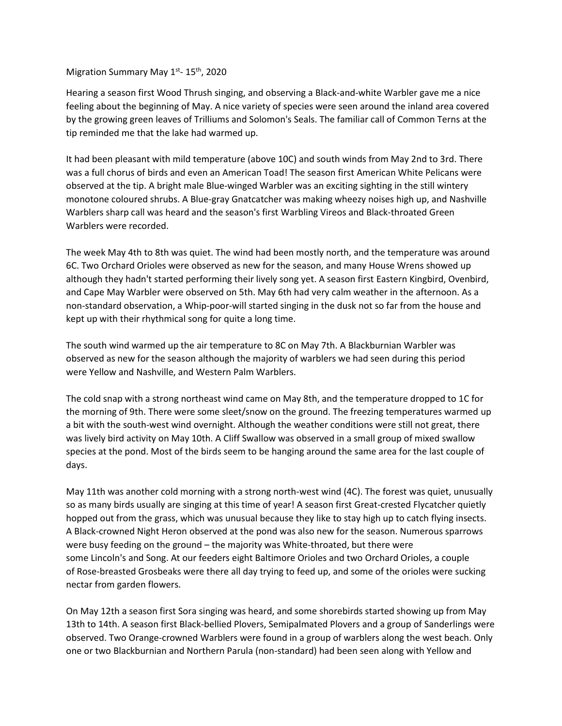## Migration Summary May 1<sup>st</sup>- 15<sup>th</sup>, 2020

Hearing a season first Wood Thrush singing, and observing a Black-and-white Warbler gave me a nice feeling about the beginning of May. A nice variety of species were seen around the inland area covered by the growing green leaves of Trilliums and Solomon's Seals. The familiar call of Common Terns at the tip reminded me that the lake had warmed up.

It had been pleasant with mild temperature (above 10C) and south winds from May 2nd to 3rd. There was a full chorus of birds and even an American Toad! The season first American White Pelicans were observed at the tip. A bright male Blue-winged Warbler was an exciting sighting in the still wintery monotone coloured shrubs. A Blue-gray Gnatcatcher was making wheezy noises high up, and Nashville Warblers sharp call was heard and the season's first Warbling Vireos and Black-throated Green Warblers were recorded.

The week May 4th to 8th was quiet. The wind had been mostly north, and the temperature was around 6C. Two Orchard Orioles were observed as new for the season, and many House Wrens showed up although they hadn't started performing their lively song yet. A season first Eastern Kingbird, Ovenbird, and Cape May Warbler were observed on 5th. May 6th had very calm weather in the afternoon. As a non-standard observation, a Whip-poor-will started singing in the dusk not so far from the house and kept up with their rhythmical song for quite a long time.

The south wind warmed up the air temperature to 8C on May 7th. A Blackburnian Warbler was observed as new for the season although the majority of warblers we had seen during this period were Yellow and Nashville, and Western Palm Warblers.

The cold snap with a strong northeast wind came on May 8th, and the temperature dropped to 1C for the morning of 9th. There were some sleet/snow on the ground. The freezing temperatures warmed up a bit with the south-west wind overnight. Although the weather conditions were still not great, there was lively bird activity on May 10th. A Cliff Swallow was observed in a small group of mixed swallow species at the pond. Most of the birds seem to be hanging around the same area for the last couple of days.

May 11th was another cold morning with a strong north-west wind (4C). The forest was quiet, unusually so as many birds usually are singing at this time of year! A season first Great-crested Flycatcher quietly hopped out from the grass, which was unusual because they like to stay high up to catch flying insects. A Black-crowned Night Heron observed at the pond was also new for the season. Numerous sparrows were busy feeding on the ground – the majority was White-throated, but there were some Lincoln's and Song. At our feeders eight Baltimore Orioles and two Orchard Orioles, a couple of Rose-breasted Grosbeaks were there all day trying to feed up, and some of the orioles were sucking nectar from garden flowers.

On May 12th a season first Sora singing was heard, and some shorebirds started showing up from May 13th to 14th. A season first Black-bellied Plovers, Semipalmated Plovers and a group of Sanderlings were observed. Two Orange-crowned Warblers were found in a group of warblers along the west beach. Only one or two Blackburnian and Northern Parula (non-standard) had been seen along with Yellow and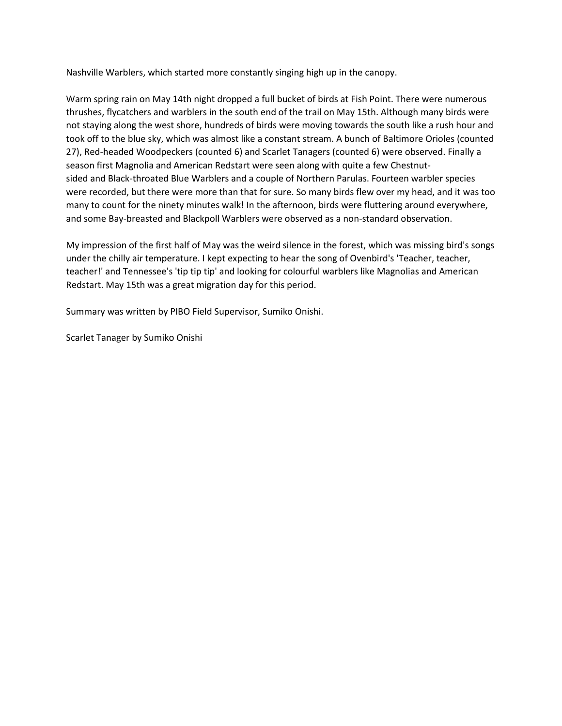Nashville Warblers, which started more constantly singing high up in the canopy.

Warm spring rain on May 14th night dropped a full bucket of birds at Fish Point. There were numerous thrushes, flycatchers and warblers in the south end of the trail on May 15th. Although many birds were not staying along the west shore, hundreds of birds were moving towards the south like a rush hour and took off to the blue sky, which was almost like a constant stream. A bunch of Baltimore Orioles (counted 27), Red-headed Woodpeckers (counted 6) and Scarlet Tanagers (counted 6) were observed. Finally a season first Magnolia and American Redstart were seen along with quite a few Chestnutsided and Black-throated Blue Warblers and a couple of Northern Parulas. Fourteen warbler species were recorded, but there were more than that for sure. So many birds flew over my head, and it was too many to count for the ninety minutes walk! In the afternoon, birds were fluttering around everywhere, and some Bay-breasted and Blackpoll Warblers were observed as a non-standard observation.

My impression of the first half of May was the weird silence in the forest, which was missing bird's songs under the chilly air temperature. I kept expecting to hear the song of Ovenbird's 'Teacher, teacher, teacher!' and Tennessee's 'tip tip tip' and looking for colourful warblers like Magnolias and American Redstart. May 15th was a great migration day for this period.

Summary was written by PIBO Field Supervisor, Sumiko Onishi.

Scarlet Tanager by Sumiko Onishi